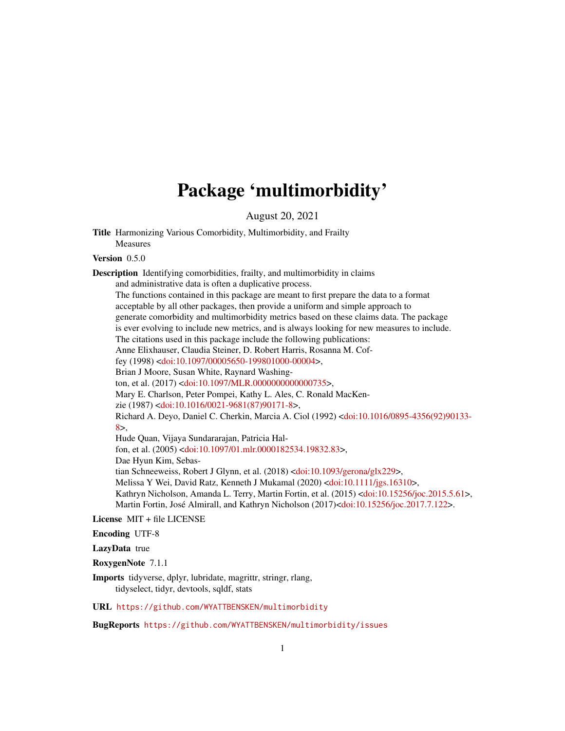# Package 'multimorbidity'

August 20, 2021

Title Harmonizing Various Comorbidity, Multimorbidity, and Frailty Measures

Version 0.5.0

Description Identifying comorbidities, frailty, and multimorbidity in claims and administrative data is often a duplicative process. The functions contained in this package are meant to first prepare the data to a format

acceptable by all other packages, then provide a uniform and simple approach to generate comorbidity and multimorbidity metrics based on these claims data. The package is ever evolving to include new metrics, and is always looking for new measures to include. The citations used in this package include the following publications: Anne Elixhauser, Claudia Steiner, D. Robert Harris, Rosanna M. Coffey (1998) [<doi:10.1097/00005650-199801000-00004>](https://doi.org/10.1097/00005650-199801000-00004), Brian J Moore, Susan White, Raynard Washington, et al. (2017) [<doi:10.1097/MLR.0000000000000735>](https://doi.org/10.1097/MLR.0000000000000735), Mary E. Charlson, Peter Pompei, Kathy L. Ales, C. Ronald MacKenzie (1987) [<doi:10.1016/0021-9681\(87\)90171-8>](https://doi.org/10.1016/0021-9681(87)90171-8), Richard A. Deyo, Daniel C. Cherkin, Marcia A. Ciol (1992) [<doi:10.1016/0895-4356\(92\)90133-](https://doi.org/10.1016/0895-4356(92)90133-8) [8>](https://doi.org/10.1016/0895-4356(92)90133-8), Hude Quan, Vijaya Sundararajan, Patricia Halfon, et al. (2005) [<doi:10.1097/01.mlr.0000182534.19832.83>](https://doi.org/10.1097/01.mlr.0000182534.19832.83), Dae Hyun Kim, Sebastian Schneeweiss, Robert J Glynn, et al. (2018) [<doi:10.1093/gerona/glx229>](https://doi.org/10.1093/gerona/glx229), Melissa Y Wei, David Ratz, Kenneth J Mukamal (2020) [<doi:10.1111/jgs.16310>](https://doi.org/10.1111/jgs.16310),

Kathryn Nicholson, Amanda L. Terry, Martin Fortin, et al. (2015) [<doi:10.15256/joc.2015.5.61>](https://doi.org/10.15256/joc.2015.5.61), Martin Fortin, José Almirall, and Kathryn Nicholson (2017)[<doi:10.15256/joc.2017.7.122>](https://doi.org/10.15256/joc.2017.7.122).

License MIT + file LICENSE

Encoding UTF-8

LazyData true

RoxygenNote 7.1.1

Imports tidyverse, dplyr, lubridate, magrittr, stringr, rlang, tidyselect, tidyr, devtools, sqldf, stats

URL <https://github.com/WYATTBENSKEN/multimorbidity>

BugReports <https://github.com/WYATTBENSKEN/multimorbidity/issues>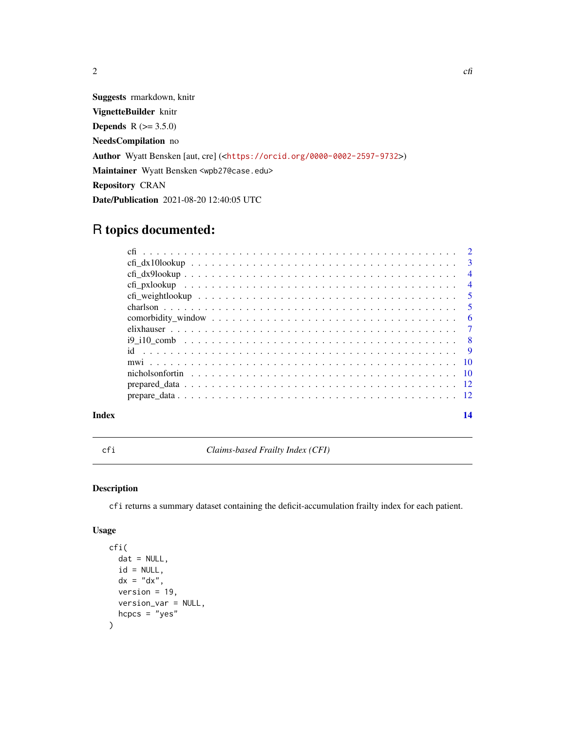<span id="page-1-0"></span>

Suggests rmarkdown, knitr VignetteBuilder knitr **Depends**  $R$  ( $>= 3.5.0$ ) NeedsCompilation no Author Wyatt Bensken [aut, cre] (<<https://orcid.org/0000-0002-2597-9732>>) Maintainer Wyatt Bensken <wpb27@case.edu> Repository CRAN Date/Publication 2021-08-20 12:40:05 UTC

# R topics documented:

| Index | 14 |
|-------|----|
|       |    |
|       |    |
|       |    |
|       |    |
|       |    |
|       |    |
|       |    |
|       |    |
|       |    |
|       |    |
|       |    |
|       |    |
|       |    |
|       |    |

cfi *Claims-based Frailty Index (CFI)*

# Description

cfi returns a summary dataset containing the deficit-accumulation frailty index for each patient.

# Usage

```
cfi(
  dat = NULL,id = NULL,dx = "dx",version = 19,
 version_var = NULL,
 hcpcs = "yes"\mathcal{L}
```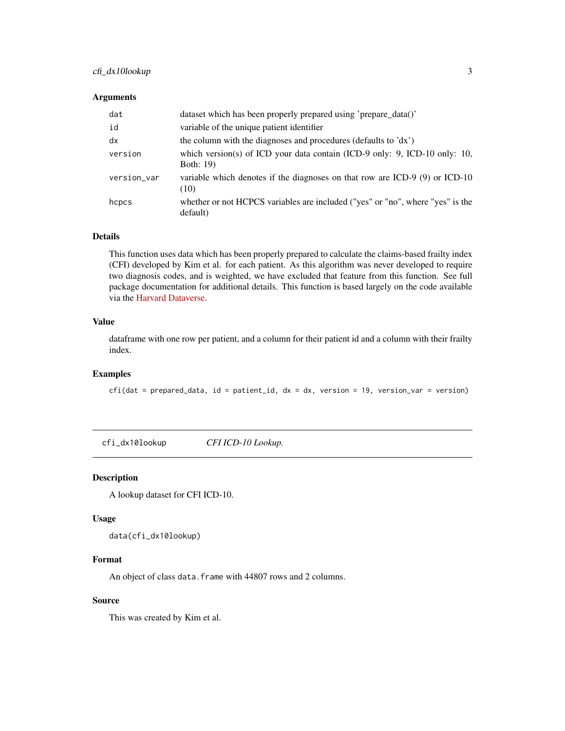# <span id="page-2-0"></span>cfi\_dx10lookup 3

#### Arguments

| dat         | dataset which has been properly prepared using 'prepare_data()'                            |
|-------------|--------------------------------------------------------------------------------------------|
| id          | variable of the unique patient identifier                                                  |
| dx          | the column with the diagnoses and procedures (defaults to 'dx')                            |
| version     | which version(s) of ICD your data contain (ICD-9 only: 9, ICD-10 only: 10,<br>Both: 19)    |
| version_var | variable which denotes if the diagnoses on that row are ICD-9 (9) or ICD-10<br>(10)        |
| hcpcs       | whether or not HCPCS variables are included ("yes" or "no", where "yes" is the<br>default) |

#### Details

This function uses data which has been properly prepared to calculate the claims-based frailty index (CFI) developed by Kim et al. for each patient. As this algorithm was never developed to require two diagnosis codes, and is weighted, we have excluded that feature from this function. See full package documentation for additional details. This function is based largely on the code available via the [Harvard Dataverse.](https://dataverse.harvard.edu/dataverse/cfi)

#### Value

dataframe with one row per patient, and a column for their patient id and a column with their frailty index.

#### Examples

 $cfi(data = prepared_data, id = patient_id, dx = dx, version = 19, version_var = version)$ 

cfi\_dx10lookup *CFI ICD-10 Lookup.*

#### Description

A lookup dataset for CFI ICD-10.

#### Usage

data(cfi\_dx10lookup)

#### Format

An object of class data. frame with 44807 rows and 2 columns.

#### Source

This was created by Kim et al.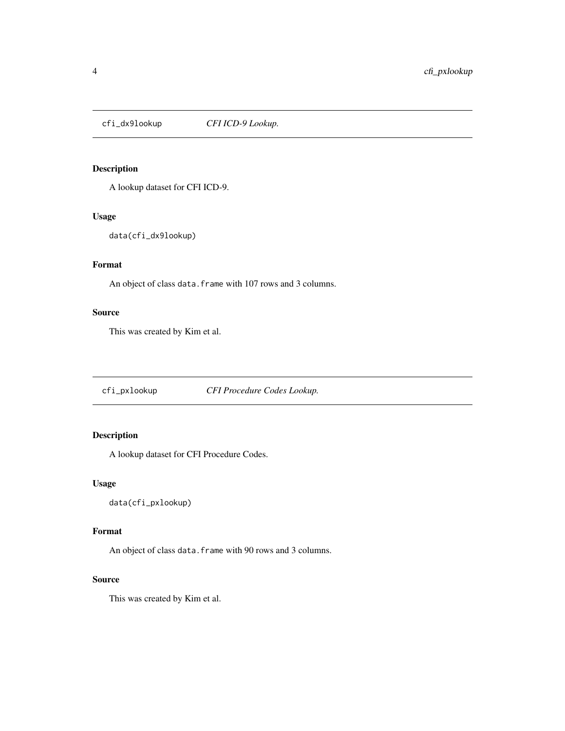<span id="page-3-0"></span>

# Description

A lookup dataset for CFI ICD-9.

#### Usage

data(cfi\_dx9lookup)

# Format

An object of class data. frame with 107 rows and 3 columns.

# Source

This was created by Kim et al.

cfi\_pxlookup *CFI Procedure Codes Lookup.*

# Description

A lookup dataset for CFI Procedure Codes.

#### Usage

data(cfi\_pxlookup)

# Format

An object of class data. frame with 90 rows and 3 columns.

### Source

This was created by Kim et al.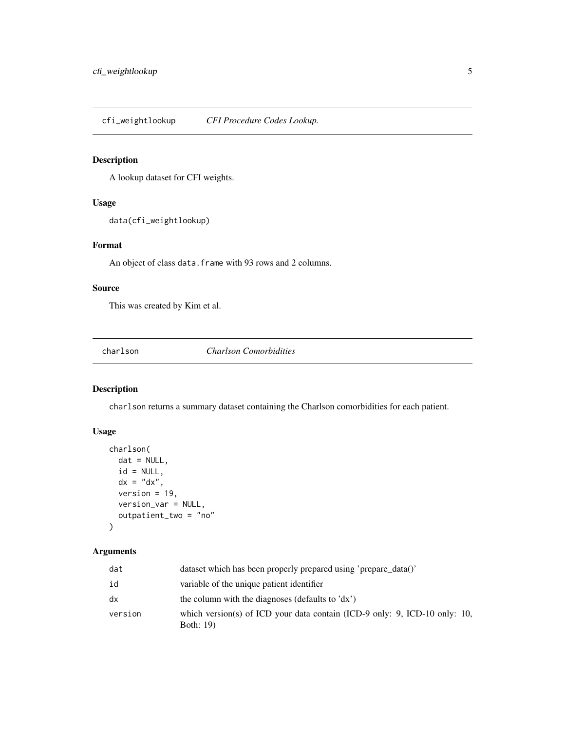<span id="page-4-0"></span>cfi\_weightlookup *CFI Procedure Codes Lookup.*

# Description

A lookup dataset for CFI weights.

# Usage

data(cfi\_weightlookup)

#### Format

An object of class data. frame with 93 rows and 2 columns.

# Source

This was created by Kim et al.

charlson *Charlson Comorbidities*

# Description

charlson returns a summary dataset containing the Charlson comorbidities for each patient.

# Usage

```
charlson(
 dat = NULL,id = NULL,dx = "dx",version = 19,
 version_var = NULL,
 outpatient_two = "no"
)
```
# Arguments

| dat     | dataset which has been properly prepared using 'prepare data()'                                |
|---------|------------------------------------------------------------------------------------------------|
| id      | variable of the unique patient identifier                                                      |
| dx      | the column with the diagnoses (defaults to 'dx')                                               |
| version | which version(s) of ICD your data contain (ICD-9 only: 9, ICD-10 only: 10,<br><b>Both: 19)</b> |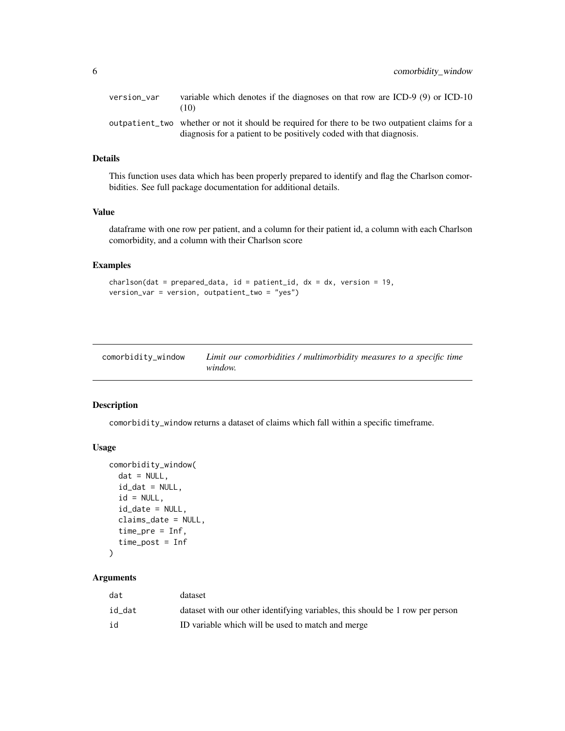<span id="page-5-0"></span>

| version var | variable which denotes if the diagnoses on that row are $ICD-9$ (9) or $ICD-10$<br>(10)                                                                                |
|-------------|------------------------------------------------------------------------------------------------------------------------------------------------------------------------|
|             | outpatient two whether or not it should be required for there to be two outpatient claims for a<br>diagnosis for a patient to be positively coded with that diagnosis. |

# Details

This function uses data which has been properly prepared to identify and flag the Charlson comorbidities. See full package documentation for additional details.

#### Value

dataframe with one row per patient, and a column for their patient id, a column with each Charlson comorbidity, and a column with their Charlson score

# Examples

```
charlson(data = prepared_data, id = patient_id, dx = dx, version = 19,version_var = version, outpatient_two = "yes")
```

| comorbidity_window | Limit our comorbidities / multimorbidity measures to a specific time |
|--------------------|----------------------------------------------------------------------|
|                    | window.                                                              |

#### Description

comorbidity\_window returns a dataset of claims which fall within a specific timeframe.

#### Usage

```
comorbidity_window(
  dat = NULL,id\_dat = NULL,id = NULL,id\_date = NULL,claims_date = NULL,
  time_pre = Inf,
  time_post = Inf
\mathcal{L}
```
# Arguments

| dat    | dataset                                                                       |
|--------|-------------------------------------------------------------------------------|
| id_dat | dataset with our other identifying variables, this should be 1 row per person |
| id     | ID variable which will be used to match and merge                             |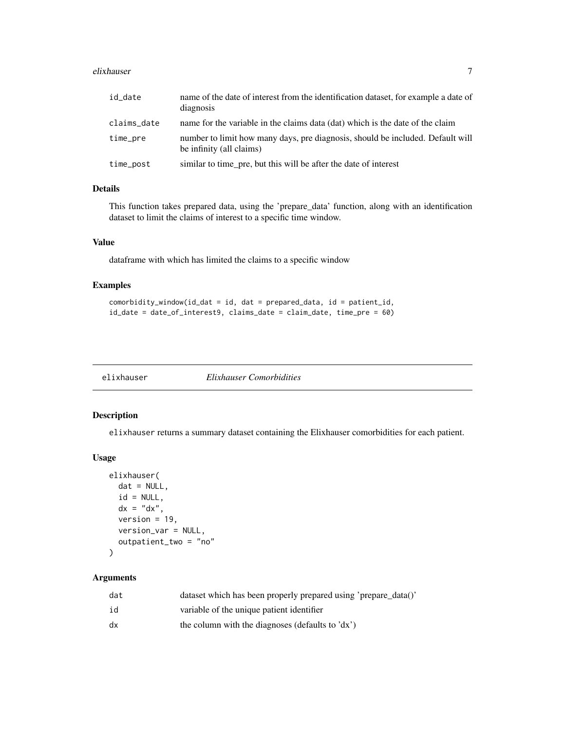#### <span id="page-6-0"></span>elixhauser 7 and 2008 and 2008 and 2008 and 2008 and 2008 and 2008 and 2008 and 2008 and 2008 and 2008 and 200

| id_date     | name of the date of interest from the identification dataset, for example a date of<br>diagnosis           |
|-------------|------------------------------------------------------------------------------------------------------------|
| claims_date | name for the variable in the claims data (dat) which is the date of the claim                              |
| time_pre    | number to limit how many days, pre diagnosis, should be included. Default will<br>be infinity (all claims) |
| time_post   | similar to time_pre, but this will be after the date of interest                                           |

# Details

This function takes prepared data, using the 'prepare\_data' function, along with an identification dataset to limit the claims of interest to a specific time window.

# Value

dataframe with which has limited the claims to a specific window

# Examples

```
comorbidity_window(id_dat = id, dat = prepared_data, id = patient_id,
id_date = date_of_interest9, claims_date = claim_date, time_pre = 60)
```
elixhauser *Elixhauser Comorbidities*

# Description

elixhauser returns a summary dataset containing the Elixhauser comorbidities for each patient.

#### Usage

```
elixhauser(
 dat = NULL,id = NULL,dx = "dx",version = 19,
  version_var = NULL,
 outpatient_two = "no"
)
```
# Arguments

| dat | dataset which has been properly prepared using 'prepare_data()' |
|-----|-----------------------------------------------------------------|
| id  | variable of the unique patient identifier                       |
| dx  | the column with the diagnoses (defaults to 'dx')                |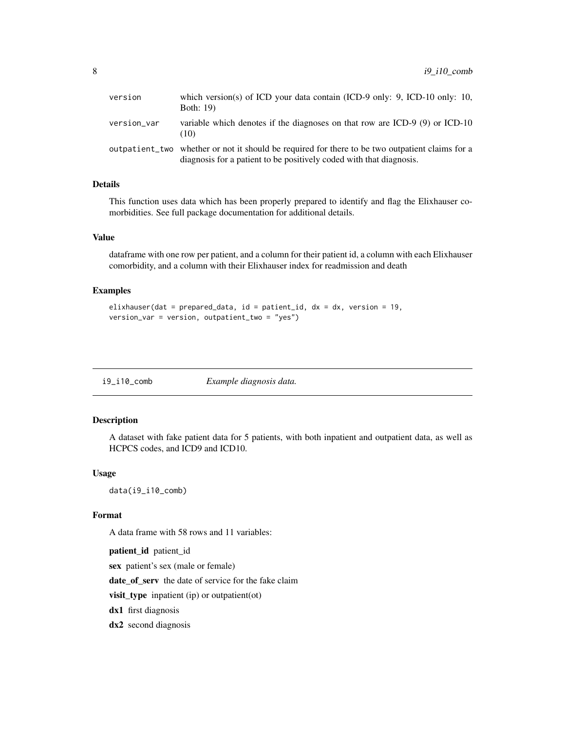<span id="page-7-0"></span>

| version     | which version(s) of ICD your data contain (ICD-9 only: 9, ICD-10 only: 10,<br>Both: 19)                                                                                |
|-------------|------------------------------------------------------------------------------------------------------------------------------------------------------------------------|
| version_var | variable which denotes if the diagnoses on that row are $ICD-9$ (9) or $ICD-10$<br>(10)                                                                                |
|             | outpatient two whether or not it should be required for there to be two outpatient claims for a<br>diagnosis for a patient to be positively coded with that diagnosis. |

# Details

This function uses data which has been properly prepared to identify and flag the Elixhauser comorbidities. See full package documentation for additional details.

#### Value

dataframe with one row per patient, and a column for their patient id, a column with each Elixhauser comorbidity, and a column with their Elixhauser index for readmission and death

#### Examples

```
elixhauser(dat = prepared_data, id = patient_id, dx = dx, version = 19,
version_var = version, outpatient_two = "yes")
```

|  | $i9$ _ $i10$ _ $comb$ | Example diagnosis data. |
|--|-----------------------|-------------------------|
|--|-----------------------|-------------------------|

#### Description

A dataset with fake patient data for 5 patients, with both inpatient and outpatient data, as well as HCPCS codes, and ICD9 and ICD10.

# Usage

data(i9\_i10\_comb)

#### Format

A data frame with 58 rows and 11 variables:

patient\_id patient\_id

sex patient's sex (male or female)

date\_of\_serv the date of service for the fake claim

visit\_type inpatient (ip) or outpatient(ot)

dx1 first diagnosis

dx2 second diagnosis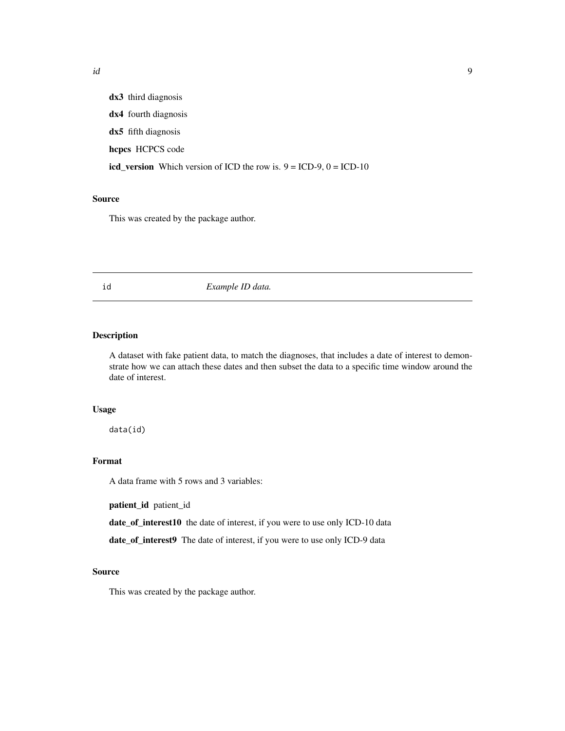<span id="page-8-0"></span>id and the set of the set of the set of the set of the set of the set of the set of the set of the set of the s

dx3 third diagnosis dx4 fourth diagnosis dx5 fifth diagnosis hcpcs HCPCS code icd\_version Which version of ICD the row is.  $9 = ICD-9$ ,  $0 = ICD-10$ 

## Source

This was created by the package author.

#### id *Example ID data.*

#### Description

A dataset with fake patient data, to match the diagnoses, that includes a date of interest to demonstrate how we can attach these dates and then subset the data to a specific time window around the date of interest.

#### Usage

data(id)

# Format

A data frame with 5 rows and 3 variables:

patient\_id patient\_id

date\_of\_interest10 the date of interest, if you were to use only ICD-10 data

date\_of\_interest9 The date of interest, if you were to use only ICD-9 data

#### Source

This was created by the package author.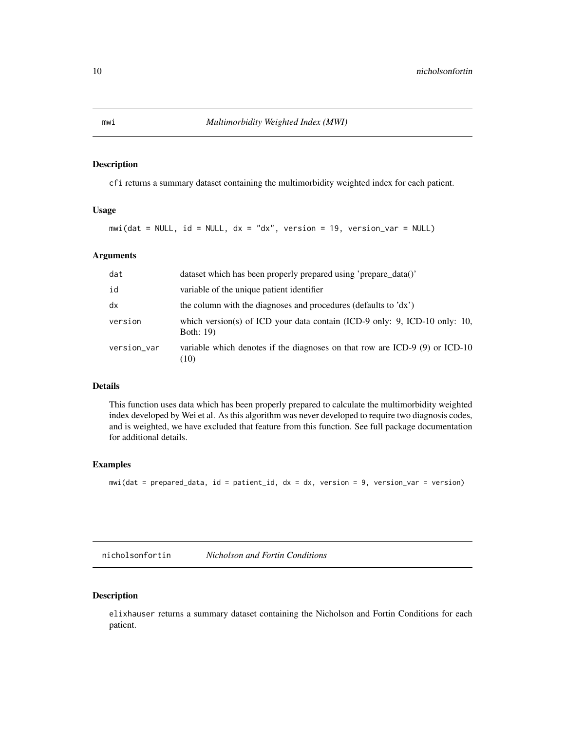#### Description

cfi returns a summary dataset containing the multimorbidity weighted index for each patient.

#### Usage

mwi(dat = NULL, id = NULL, dx = "dx", version = 19, version\_var = NULL)

#### Arguments

| dat         | dataset which has been properly prepared using 'prepare data()'                                |
|-------------|------------------------------------------------------------------------------------------------|
| id          | variable of the unique patient identifier                                                      |
| dx          | the column with the diagnoses and procedures (defaults to 'dx')                                |
| version     | which version(s) of ICD your data contain (ICD-9 only: 9, ICD-10 only: 10,<br><b>Both: 19)</b> |
| version_var | variable which denotes if the diagnoses on that row are ICD-9 $(9)$ or ICD-10<br>(10)          |

### Details

This function uses data which has been properly prepared to calculate the multimorbidity weighted index developed by Wei et al. As this algorithm was never developed to require two diagnosis codes, and is weighted, we have excluded that feature from this function. See full package documentation for additional details.

#### Examples

mwi(dat = prepared\_data, id = patient\_id, dx = dx, version = 9, version\_var = version)

nicholsonfortin *Nicholson and Fortin Conditions*

# Description

elixhauser returns a summary dataset containing the Nicholson and Fortin Conditions for each patient.

<span id="page-9-0"></span>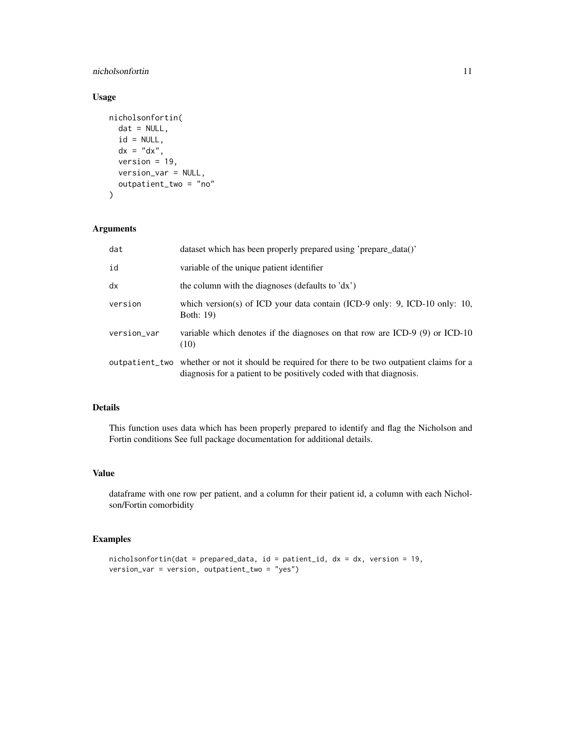# nicholsonfortin 11

# Usage

```
nicholsonfortin(
  dat = NULL,id = NULL,dx = "dx",version = 19,
  version_var = NULL,
 outpatient_two = "no"
)
```
# Arguments

| dat         | dataset which has been properly prepared using 'prepare_data()'                                                                                                        |
|-------------|------------------------------------------------------------------------------------------------------------------------------------------------------------------------|
| id          | variable of the unique patient identifier                                                                                                                              |
| dx          | the column with the diagnoses (defaults to 'dx')                                                                                                                       |
| version     | which version(s) of ICD your data contain (ICD-9 only: 9, ICD-10 only: 10,<br>Both: 19)                                                                                |
| version_var | variable which denotes if the diagnoses on that row are ICD-9 $(9)$ or ICD-10<br>(10)                                                                                  |
|             | outpatient_two whether or not it should be required for there to be two outpatient claims for a<br>diagnosis for a patient to be positively coded with that diagnosis. |

# Details

This function uses data which has been properly prepared to identify and flag the Nicholson and Fortin conditions See full package documentation for additional details.

# Value

dataframe with one row per patient, and a column for their patient id, a column with each Nicholson/Fortin comorbidity

# Examples

```
nicholsonfortin(dat = prepared_data, id = patient_id, dx = dx, version = 19,
version_var = version, outpatient_two = "yes")
```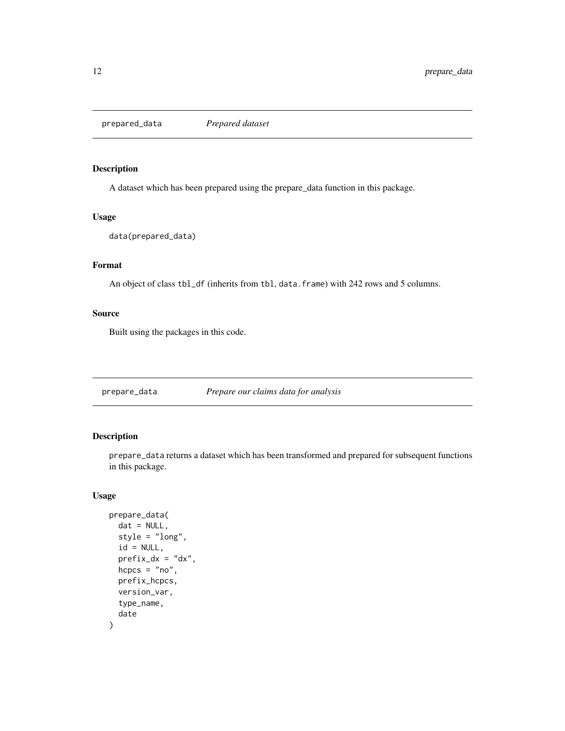<span id="page-11-0"></span>prepared\_data *Prepared dataset*

#### Description

A dataset which has been prepared using the prepare\_data function in this package.

#### Usage

```
data(prepared_data)
```
# Format

An object of class tbl\_df (inherits from tbl, data.frame) with 242 rows and 5 columns.

#### Source

Built using the packages in this code.

prepare\_data *Prepare our claims data for analysis*

# Description

prepare\_data returns a dataset which has been transformed and prepared for subsequent functions in this package.

#### Usage

```
prepare_data(
  dat = NULL,style = "long",
  id = NULL,prefix\_dx = "dx",hcpcs = "no",
 prefix_hcpcs,
  version_var,
  type_name,
  date
)
```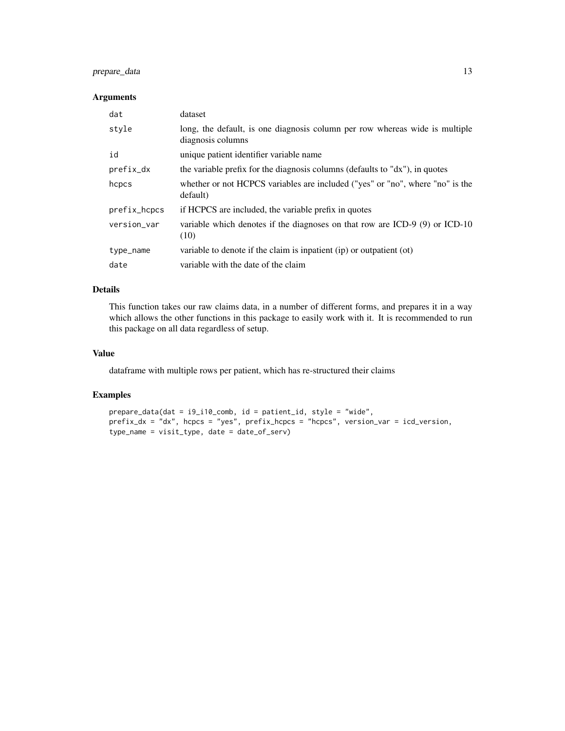# prepare\_data 13

#### Arguments

| dat          | dataset                                                                                          |
|--------------|--------------------------------------------------------------------------------------------------|
| style        | long, the default, is one diagnosis column per row whereas wide is multiple<br>diagnosis columns |
| id           | unique patient identifier variable name                                                          |
| $prefix\_dx$ | the variable prefix for the diagnosis columns (defaults to $d$ x"), in quotes                    |
| hcpcs        | whether or not HCPCS variables are included ("yes" or "no", where "no" is the<br>default)        |
| prefix_hcpcs | if HCPCS are included, the variable prefix in quotes                                             |
| version_var  | variable which denotes if the diagnoses on that row are ICD-9 (9) or ICD-10<br>(10)              |
| type_name    | variable to denote if the claim is inpatient (ip) or outpatient (ot)                             |
| date         | variable with the date of the claim                                                              |

# Details

This function takes our raw claims data, in a number of different forms, and prepares it in a way which allows the other functions in this package to easily work with it. It is recommended to run this package on all data regardless of setup.

#### Value

dataframe with multiple rows per patient, which has re-structured their claims

# Examples

```
prepare_data(dat = i9_i10_comb, id = patient_id, style = "wide",
prefix_dx = "dx", hcpcs = "yes", prefix_hcpcs = "hcpcs", version_var = icd_version,
type_name = visit_type, date = date_of_serv)
```